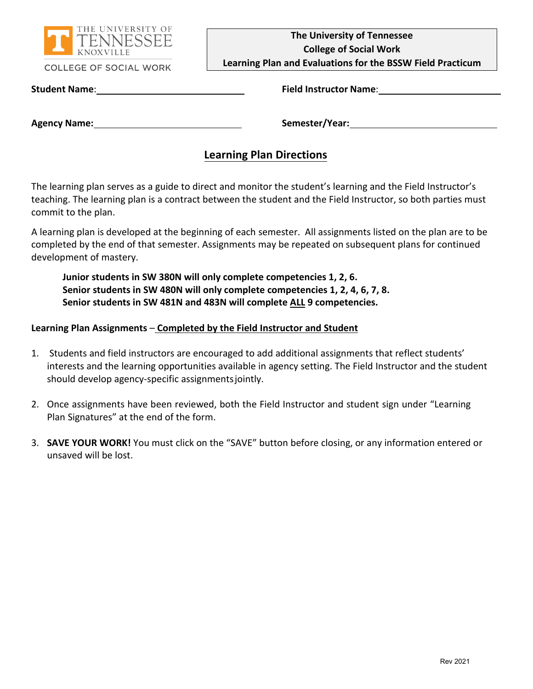

#### **COLLEGE OF SOCIAL WORK**

**The University of Tennessee College of Social Work**

**Learning Plan and Evaluations for the BSSW Field Practicum**

**Student Name**: **Field Instructor Name**:

**Agency Name: Semester/Year:**

# **Learning Plan Directions**

The learning plan serves as a guide to direct and monitor the student's learning and the Field Instructor's teaching. The learning plan is a contract between the student and the Field Instructor, so both parties must commit to the plan.

A learning plan is developed at the beginning of each semester. All assignments listed on the plan are to be completed by the end of that semester. Assignments may be repeated on subsequent plans for continued development of mastery.

**Junior students in SW 380N will only complete competencies 1, 2, 6. Senior students in SW 480N will only complete competencies 1, 2, 4, 6, 7, 8. Senior students in SW 481N and 483N will complete ALL 9 competencies.**

#### **Learning Plan Assignments** – **Completed by the Field Instructor and Student**

- 1. Students and field instructors are encouraged to add additional assignments that reflect students' interests and the learning opportunities available in agency setting. The Field Instructor and the student should develop agency-specific assignmentsjointly.
- 2. Once assignments have been reviewed, both the Field Instructor and student sign under "Learning Plan Signatures" at the end of the form.
- 3. **SAVE YOUR WORK!** You must click on the "SAVE" button before closing, or any information entered or unsaved will be lost.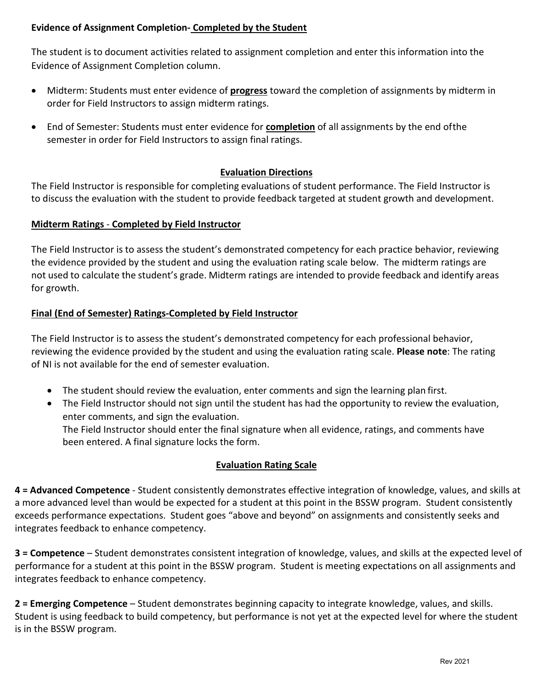## **Evidence of Assignment Completion- Completed by the Student**

The student is to document activities related to assignment completion and enter this information into the Evidence of Assignment Completion column.

- Midterm: Students must enter evidence of **progress** toward the completion of assignments by midterm in order for Field Instructors to assign midterm ratings.
- End of Semester: Students must enter evidence for **completion** of all assignments by the end ofthe semester in order for Field Instructors to assign final ratings.

## **Evaluation Directions**

The Field Instructor is responsible for completing evaluations of student performance. The Field Instructor is to discuss the evaluation with the student to provide feedback targeted at student growth and development.

#### **Midterm Ratings** - **Completed by Field Instructor**

The Field Instructor is to assess the student's demonstrated competency for each practice behavior, reviewing the evidence provided by the student and using the evaluation rating scale below. The midterm ratings are not used to calculate the student's grade. Midterm ratings are intended to provide feedback and identify areas for growth.

#### **Final (End of Semester) Ratings-Completed by Field Instructor**

The Field Instructor is to assess the student's demonstrated competency for each professional behavior, reviewing the evidence provided by the student and using the evaluation rating scale. **Please note**: The rating of NI is not available for the end of semester evaluation.

- The student should review the evaluation, enter comments and sign the learning plan first.
- The Field Instructor should not sign until the student has had the opportunity to review the evaluation, enter comments, and sign the evaluation. The Field Instructor should enter the final signature when all evidence, ratings, and comments have been entered. A final signature locks the form.

#### **Evaluation Rating Scale**

**4 = Advanced Competence** - Student consistently demonstrates effective integration of knowledge, values, and skills at a more advanced level than would be expected for a student at this point in the BSSW program. Student consistently exceeds performance expectations. Student goes "above and beyond" on assignments and consistently seeks and integrates feedback to enhance competency.

**3 = Competence** – Student demonstrates consistent integration of knowledge, values, and skills at the expected level of performance for a student at this point in the BSSW program. Student is meeting expectations on all assignments and integrates feedback to enhance competency.

**2 = Emerging Competence** – Student demonstrates beginning capacity to integrate knowledge, values, and skills. Student is using feedback to build competency, but performance is not yet at the expected level for where the student is in the BSSW program.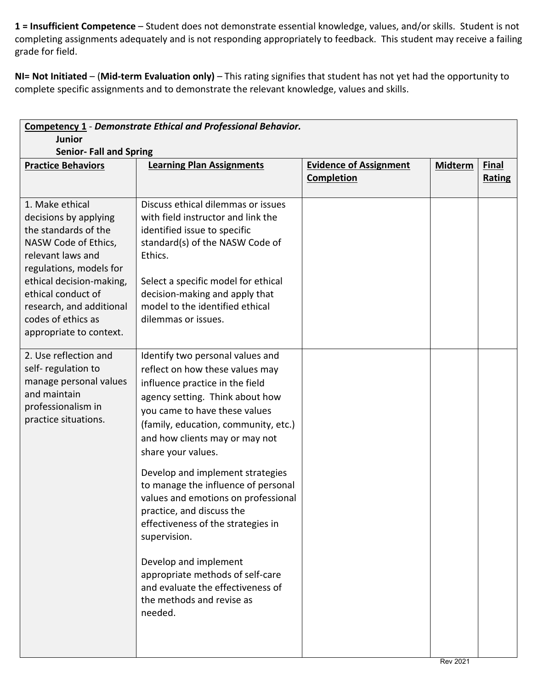**1 = Insufficient Competence** – Student does not demonstrate essential knowledge, values, and/or skills. Student is not completing assignments adequately and is not responding appropriately to feedback. This student may receive a failing grade for field.

**NI= Not Initiated** – (**Mid-term Evaluation only)** – This rating signifies that student has not yet had the opportunity to complete specific assignments and to demonstrate the relevant knowledge, values and skills.

| <b>Competency 1 - Demonstrate Ethical and Professional Behavior.</b><br><b>Junior</b><br><b>Senior-Fall and Spring</b>                                                                                                                                                  |                                                                                                                                                                                                                                                                                           |                                                    |                |                        |
|-------------------------------------------------------------------------------------------------------------------------------------------------------------------------------------------------------------------------------------------------------------------------|-------------------------------------------------------------------------------------------------------------------------------------------------------------------------------------------------------------------------------------------------------------------------------------------|----------------------------------------------------|----------------|------------------------|
| <b>Practice Behaviors</b>                                                                                                                                                                                                                                               | <b>Learning Plan Assignments</b>                                                                                                                                                                                                                                                          | <b>Evidence of Assignment</b><br><b>Completion</b> | <b>Midterm</b> | <b>Final</b><br>Rating |
| 1. Make ethical<br>decisions by applying<br>the standards of the<br>NASW Code of Ethics,<br>relevant laws and<br>regulations, models for<br>ethical decision-making,<br>ethical conduct of<br>research, and additional<br>codes of ethics as<br>appropriate to context. | Discuss ethical dilemmas or issues<br>with field instructor and link the<br>identified issue to specific<br>standard(s) of the NASW Code of<br>Ethics.<br>Select a specific model for ethical<br>decision-making and apply that<br>model to the identified ethical<br>dilemmas or issues. |                                                    |                |                        |
| 2. Use reflection and<br>self-regulation to<br>manage personal values<br>and maintain<br>professionalism in<br>practice situations.                                                                                                                                     | Identify two personal values and<br>reflect on how these values may<br>influence practice in the field<br>agency setting. Think about how<br>you came to have these values<br>(family, education, community, etc.)<br>and how clients may or may not<br>share your values.                |                                                    |                |                        |
|                                                                                                                                                                                                                                                                         | Develop and implement strategies<br>to manage the influence of personal<br>values and emotions on professional<br>practice, and discuss the<br>effectiveness of the strategies in<br>supervision.                                                                                         |                                                    |                |                        |
|                                                                                                                                                                                                                                                                         | Develop and implement<br>appropriate methods of self-care<br>and evaluate the effectiveness of<br>the methods and revise as<br>needed.                                                                                                                                                    |                                                    |                |                        |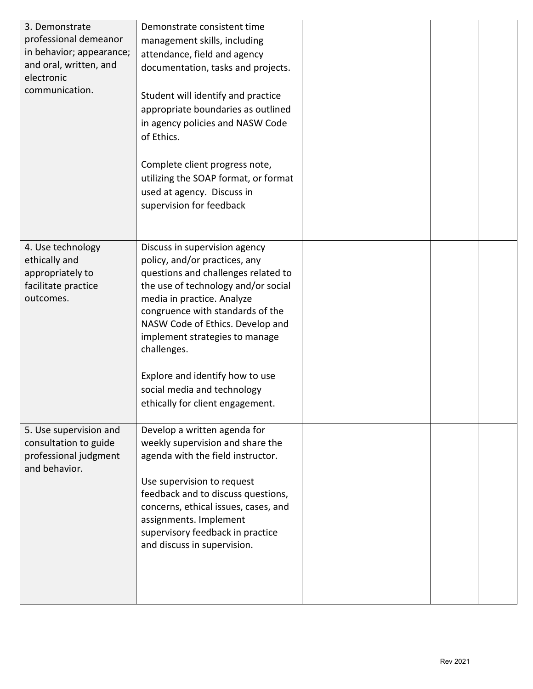| 3. Demonstrate           | Demonstrate consistent time          |  |  |
|--------------------------|--------------------------------------|--|--|
| professional demeanor    | management skills, including         |  |  |
| in behavior; appearance; | attendance, field and agency         |  |  |
| and oral, written, and   | documentation, tasks and projects.   |  |  |
| electronic               |                                      |  |  |
| communication.           | Student will identify and practice   |  |  |
|                          | appropriate boundaries as outlined   |  |  |
|                          | in agency policies and NASW Code     |  |  |
|                          | of Ethics.                           |  |  |
|                          |                                      |  |  |
|                          |                                      |  |  |
|                          | Complete client progress note,       |  |  |
|                          | utilizing the SOAP format, or format |  |  |
|                          | used at agency. Discuss in           |  |  |
|                          | supervision for feedback             |  |  |
|                          |                                      |  |  |
|                          |                                      |  |  |
| 4. Use technology        | Discuss in supervision agency        |  |  |
| ethically and            | policy, and/or practices, any        |  |  |
| appropriately to         | questions and challenges related to  |  |  |
| facilitate practice      | the use of technology and/or social  |  |  |
| outcomes.                | media in practice. Analyze           |  |  |
|                          | congruence with standards of the     |  |  |
|                          | NASW Code of Ethics. Develop and     |  |  |
|                          | implement strategies to manage       |  |  |
|                          | challenges.                          |  |  |
|                          |                                      |  |  |
|                          | Explore and identify how to use      |  |  |
|                          | social media and technology          |  |  |
|                          | ethically for client engagement.     |  |  |
| 5. Use supervision and   | Develop a written agenda for         |  |  |
| consultation to guide    | weekly supervision and share the     |  |  |
| professional judgment    | agenda with the field instructor.    |  |  |
| and behavior.            |                                      |  |  |
|                          | Use supervision to request           |  |  |
|                          | feedback and to discuss questions,   |  |  |
|                          | concerns, ethical issues, cases, and |  |  |
|                          | assignments. Implement               |  |  |
|                          | supervisory feedback in practice     |  |  |
|                          | and discuss in supervision.          |  |  |
|                          |                                      |  |  |
|                          |                                      |  |  |
|                          |                                      |  |  |
|                          |                                      |  |  |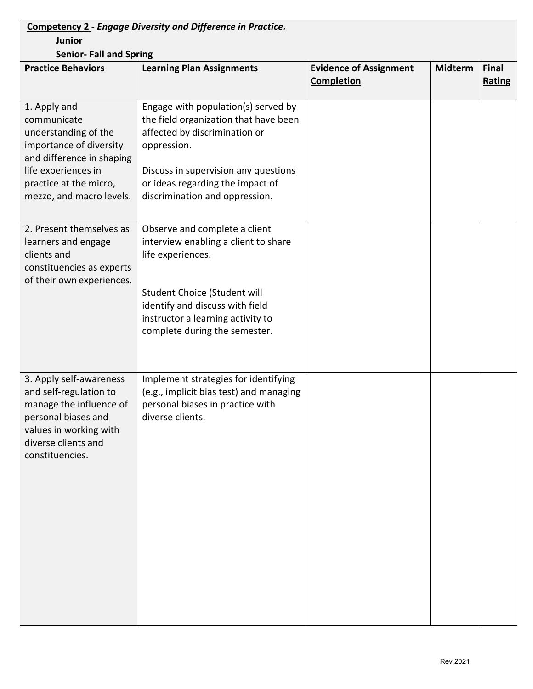| <b>Competency 2 - Engage Diversity and Difference in Practice.</b> |                                                                              |                               |                |              |
|--------------------------------------------------------------------|------------------------------------------------------------------------------|-------------------------------|----------------|--------------|
| <b>Junior</b>                                                      |                                                                              |                               |                |              |
| <b>Senior- Fall and Spring</b>                                     |                                                                              |                               |                |              |
| <b>Practice Behaviors</b>                                          | <b>Learning Plan Assignments</b>                                             | <b>Evidence of Assignment</b> | <b>Midterm</b> | <b>Final</b> |
|                                                                    |                                                                              | <b>Completion</b>             |                | Rating       |
|                                                                    |                                                                              |                               |                |              |
| 1. Apply and<br>communicate                                        | Engage with population(s) served by<br>the field organization that have been |                               |                |              |
| understanding of the                                               | affected by discrimination or                                                |                               |                |              |
| importance of diversity<br>and difference in shaping               | oppression.                                                                  |                               |                |              |
| life experiences in                                                | Discuss in supervision any questions                                         |                               |                |              |
| practice at the micro,                                             | or ideas regarding the impact of                                             |                               |                |              |
| mezzo, and macro levels.                                           | discrimination and oppression.                                               |                               |                |              |
|                                                                    |                                                                              |                               |                |              |
| 2. Present themselves as                                           | Observe and complete a client                                                |                               |                |              |
| learners and engage<br>clients and                                 | interview enabling a client to share                                         |                               |                |              |
| constituencies as experts                                          | life experiences.                                                            |                               |                |              |
| of their own experiences.                                          |                                                                              |                               |                |              |
|                                                                    | Student Choice (Student will                                                 |                               |                |              |
|                                                                    | identify and discuss with field                                              |                               |                |              |
|                                                                    | instructor a learning activity to                                            |                               |                |              |
|                                                                    | complete during the semester.                                                |                               |                |              |
|                                                                    |                                                                              |                               |                |              |
|                                                                    |                                                                              |                               |                |              |
| 3. Apply self-awareness                                            | Implement strategies for identifying                                         |                               |                |              |
| and self-regulation to                                             | (e.g., implicit bias test) and managing                                      |                               |                |              |
| manage the influence of<br>personal biases and                     | personal biases in practice with<br>diverse clients.                         |                               |                |              |
| values in working with                                             |                                                                              |                               |                |              |
| diverse clients and                                                |                                                                              |                               |                |              |
| constituencies.                                                    |                                                                              |                               |                |              |
|                                                                    |                                                                              |                               |                |              |
|                                                                    |                                                                              |                               |                |              |
|                                                                    |                                                                              |                               |                |              |
|                                                                    |                                                                              |                               |                |              |
|                                                                    |                                                                              |                               |                |              |
|                                                                    |                                                                              |                               |                |              |
|                                                                    |                                                                              |                               |                |              |
|                                                                    |                                                                              |                               |                |              |
|                                                                    |                                                                              |                               |                |              |
|                                                                    |                                                                              |                               |                |              |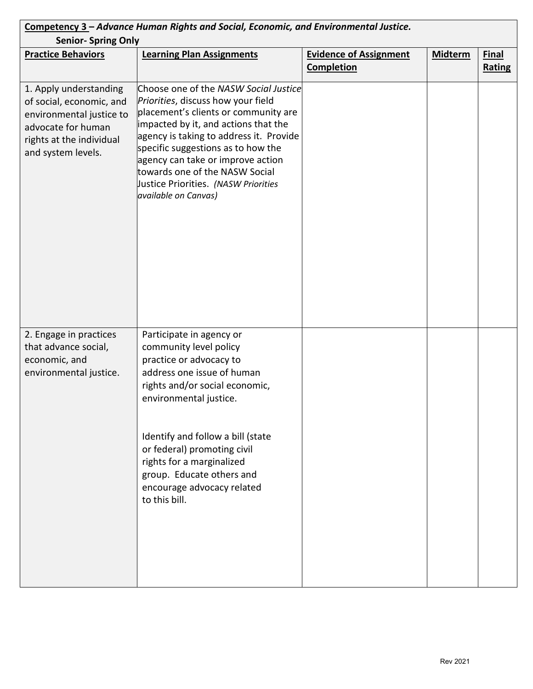| Competency 3 – Advance Human Rights and Social, Economic, and Environmental Justice.                                                                   |                                                                                                                                                                                                                                                                                                                                                                                     |                                                    |                |                               |
|--------------------------------------------------------------------------------------------------------------------------------------------------------|-------------------------------------------------------------------------------------------------------------------------------------------------------------------------------------------------------------------------------------------------------------------------------------------------------------------------------------------------------------------------------------|----------------------------------------------------|----------------|-------------------------------|
| <b>Senior- Spring Only</b>                                                                                                                             |                                                                                                                                                                                                                                                                                                                                                                                     |                                                    |                |                               |
| <b>Practice Behaviors</b>                                                                                                                              | <b>Learning Plan Assignments</b>                                                                                                                                                                                                                                                                                                                                                    | <b>Evidence of Assignment</b><br><b>Completion</b> | <b>Midterm</b> | <b>Final</b><br><b>Rating</b> |
| 1. Apply understanding<br>of social, economic, and<br>environmental justice to<br>advocate for human<br>rights at the individual<br>and system levels. | Choose one of the NASW Social Justice<br>Priorities, discuss how your field<br>placement's clients or community are<br>impacted by it, and actions that the<br>agency is taking to address it. Provide<br>specific suggestions as to how the<br>agency can take or improve action<br>towards one of the NASW Social<br>Justice Priorities. (NASW Priorities<br>available on Canvas) |                                                    |                |                               |
| 2. Engage in practices<br>that advance social,<br>economic, and<br>environmental justice.                                                              | Participate in agency or<br>community level policy<br>practice or advocacy to<br>address one issue of human<br>rights and/or social economic,<br>environmental justice.<br>Identify and follow a bill (state<br>or federal) promoting civil<br>rights for a marginalized<br>group. Educate others and<br>encourage advocacy related<br>to this bill.                                |                                                    |                |                               |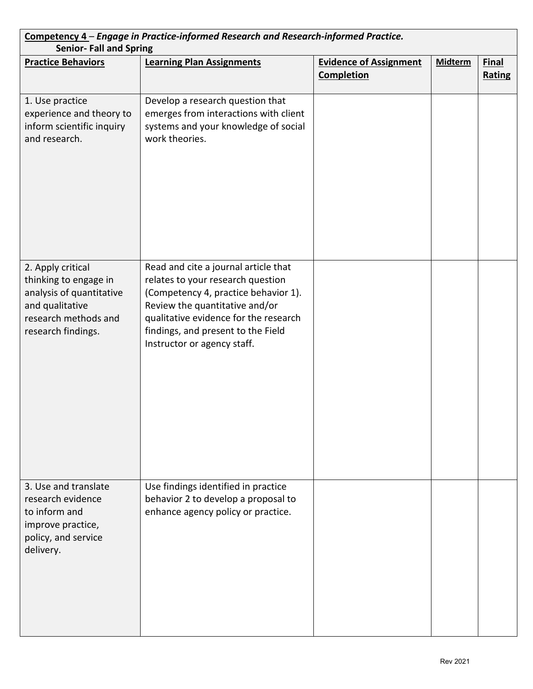| Competency 4 - Engage in Practice-informed Research and Research-informed Practice.<br><b>Senior-Fall and Spring</b>                    |                                                                                                                                                                                                                                                                   |                                                    |                |                        |  |
|-----------------------------------------------------------------------------------------------------------------------------------------|-------------------------------------------------------------------------------------------------------------------------------------------------------------------------------------------------------------------------------------------------------------------|----------------------------------------------------|----------------|------------------------|--|
| <b>Practice Behaviors</b>                                                                                                               | <b>Learning Plan Assignments</b>                                                                                                                                                                                                                                  | <b>Evidence of Assignment</b><br><b>Completion</b> | <b>Midterm</b> | <b>Final</b><br>Rating |  |
| 1. Use practice<br>experience and theory to<br>inform scientific inquiry<br>and research.                                               | Develop a research question that<br>emerges from interactions with client<br>systems and your knowledge of social<br>work theories.                                                                                                                               |                                                    |                |                        |  |
| 2. Apply critical<br>thinking to engage in<br>analysis of quantitative<br>and qualitative<br>research methods and<br>research findings. | Read and cite a journal article that<br>relates to your research question<br>(Competency 4, practice behavior 1).<br>Review the quantitative and/or<br>qualitative evidence for the research<br>findings, and present to the Field<br>Instructor or agency staff. |                                                    |                |                        |  |
| 3. Use and translate<br>research evidence<br>to inform and<br>improve practice,<br>policy, and service<br>delivery.                     | Use findings identified in practice<br>behavior 2 to develop a proposal to<br>enhance agency policy or practice.                                                                                                                                                  |                                                    |                |                        |  |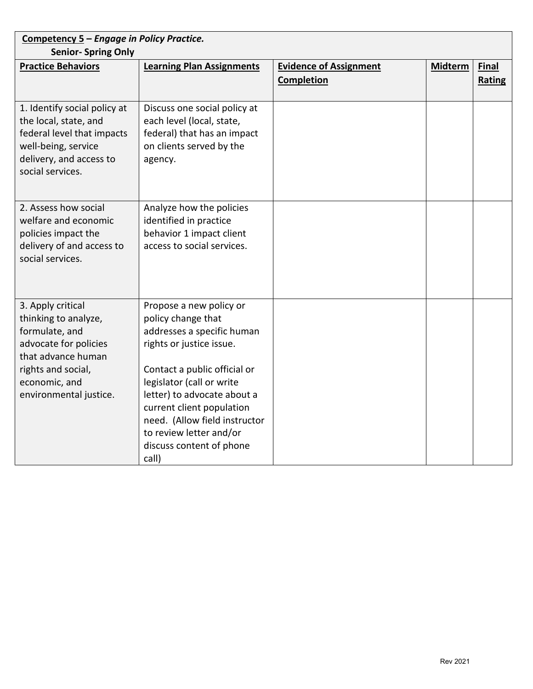| Competency 5 - Engage in Policy Practice.<br><b>Senior- Spring Only</b>                                                                                                     |                                                                                                                                                                                                                                                                                                                                   |                                             |                |                               |
|-----------------------------------------------------------------------------------------------------------------------------------------------------------------------------|-----------------------------------------------------------------------------------------------------------------------------------------------------------------------------------------------------------------------------------------------------------------------------------------------------------------------------------|---------------------------------------------|----------------|-------------------------------|
| <b>Practice Behaviors</b>                                                                                                                                                   | <b>Learning Plan Assignments</b>                                                                                                                                                                                                                                                                                                  | <b>Evidence of Assignment</b><br>Completion | <b>Midterm</b> | <b>Final</b><br><b>Rating</b> |
| 1. Identify social policy at<br>the local, state, and<br>federal level that impacts<br>well-being, service<br>delivery, and access to<br>social services.                   | Discuss one social policy at<br>each level (local, state,<br>federal) that has an impact<br>on clients served by the<br>agency.                                                                                                                                                                                                   |                                             |                |                               |
| 2. Assess how social<br>welfare and economic<br>policies impact the<br>delivery of and access to<br>social services.                                                        | Analyze how the policies<br>identified in practice<br>behavior 1 impact client<br>access to social services.                                                                                                                                                                                                                      |                                             |                |                               |
| 3. Apply critical<br>thinking to analyze,<br>formulate, and<br>advocate for policies<br>that advance human<br>rights and social,<br>economic, and<br>environmental justice. | Propose a new policy or<br>policy change that<br>addresses a specific human<br>rights or justice issue.<br>Contact a public official or<br>legislator (call or write<br>letter) to advocate about a<br>current client population<br>need. (Allow field instructor<br>to review letter and/or<br>discuss content of phone<br>call) |                                             |                |                               |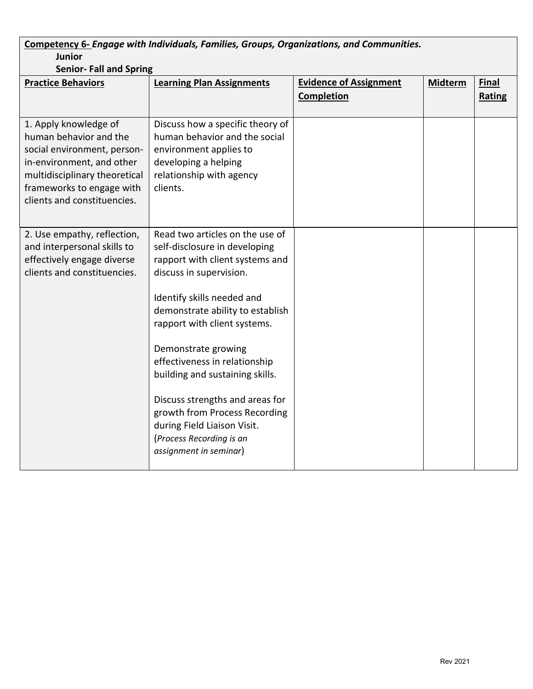| Competency 6- Engage with Individuals, Families, Groups, Organizations, and Communities.<br><b>Junior</b>                                                                                                |                                                                                                                                                                                                                                                                                                                                                                                                                                                                                      |                                                    |                |                               |
|----------------------------------------------------------------------------------------------------------------------------------------------------------------------------------------------------------|--------------------------------------------------------------------------------------------------------------------------------------------------------------------------------------------------------------------------------------------------------------------------------------------------------------------------------------------------------------------------------------------------------------------------------------------------------------------------------------|----------------------------------------------------|----------------|-------------------------------|
| <b>Senior- Fall and Spring</b>                                                                                                                                                                           |                                                                                                                                                                                                                                                                                                                                                                                                                                                                                      |                                                    |                |                               |
| <b>Practice Behaviors</b>                                                                                                                                                                                | <b>Learning Plan Assignments</b>                                                                                                                                                                                                                                                                                                                                                                                                                                                     | <b>Evidence of Assignment</b><br><b>Completion</b> | <b>Midterm</b> | <b>Final</b><br><b>Rating</b> |
| 1. Apply knowledge of<br>human behavior and the<br>social environment, person-<br>in-environment, and other<br>multidisciplinary theoretical<br>frameworks to engage with<br>clients and constituencies. | Discuss how a specific theory of<br>human behavior and the social<br>environment applies to<br>developing a helping<br>relationship with agency<br>clients.                                                                                                                                                                                                                                                                                                                          |                                                    |                |                               |
| 2. Use empathy, reflection,<br>and interpersonal skills to<br>effectively engage diverse<br>clients and constituencies.                                                                                  | Read two articles on the use of<br>self-disclosure in developing<br>rapport with client systems and<br>discuss in supervision.<br>Identify skills needed and<br>demonstrate ability to establish<br>rapport with client systems.<br>Demonstrate growing<br>effectiveness in relationship<br>building and sustaining skills.<br>Discuss strengths and areas for<br>growth from Process Recording<br>during Field Liaison Visit.<br>(Process Recording is an<br>assignment in seminar) |                                                    |                |                               |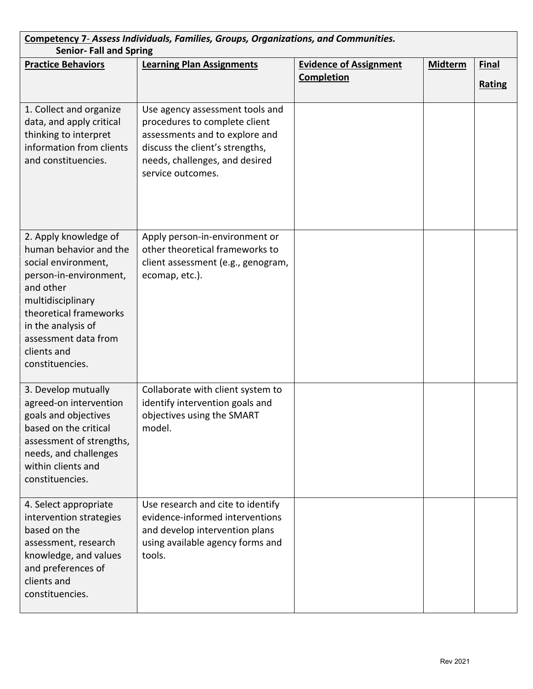| Competency 7- Assess Individuals, Families, Groups, Organizations, and Communities.<br><b>Senior-Fall and Spring</b>                                                                                                                         |                                                                                                                                                                                              |                                             |                |                        |  |
|----------------------------------------------------------------------------------------------------------------------------------------------------------------------------------------------------------------------------------------------|----------------------------------------------------------------------------------------------------------------------------------------------------------------------------------------------|---------------------------------------------|----------------|------------------------|--|
| <b>Practice Behaviors</b>                                                                                                                                                                                                                    | <b>Learning Plan Assignments</b>                                                                                                                                                             | <b>Evidence of Assignment</b><br>Completion | <b>Midterm</b> | Final<br><b>Rating</b> |  |
| 1. Collect and organize<br>data, and apply critical<br>thinking to interpret<br>information from clients<br>and constituencies.                                                                                                              | Use agency assessment tools and<br>procedures to complete client<br>assessments and to explore and<br>discuss the client's strengths,<br>needs, challenges, and desired<br>service outcomes. |                                             |                |                        |  |
| 2. Apply knowledge of<br>human behavior and the<br>social environment,<br>person-in-environment,<br>and other<br>multidisciplinary<br>theoretical frameworks<br>in the analysis of<br>assessment data from<br>clients and<br>constituencies. | Apply person-in-environment or<br>other theoretical frameworks to<br>client assessment (e.g., genogram,<br>ecomap, etc.).                                                                    |                                             |                |                        |  |
| 3. Develop mutually<br>agreed-on intervention<br>goals and objectives<br>based on the critical<br>assessment of strengths,<br>needs, and challenges<br>within clients and<br>constituencies.                                                 | Collaborate with client system to<br>identify intervention goals and<br>objectives using the SMART<br>model.                                                                                 |                                             |                |                        |  |
| 4. Select appropriate<br>intervention strategies<br>based on the<br>assessment, research<br>knowledge, and values<br>and preferences of<br>clients and<br>constituencies.                                                                    | Use research and cite to identify<br>evidence-informed interventions<br>and develop intervention plans<br>using available agency forms and<br>tools.                                         |                                             |                |                        |  |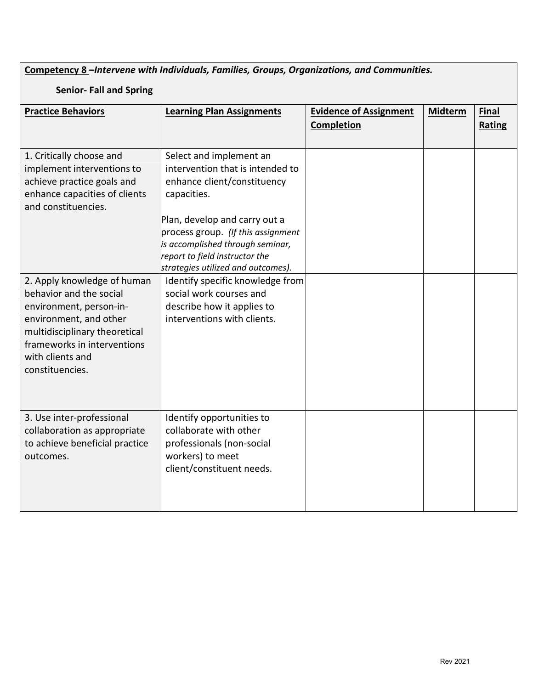**Competency 8 –***Intervene with Individuals, Families, Groups, Organizations, and Communities.*

## **Senior- Fall and Spring**

| <b>Practice Behaviors</b>                                                                                                                                                           | <b>Learning Plan Assignments</b>                                                                                                                                                                                                                                                                                                 | <b>Evidence of Assignment</b><br><b>Completion</b> | <b>Midterm</b> | <b>Final</b><br><b>Rating</b> |
|-------------------------------------------------------------------------------------------------------------------------------------------------------------------------------------|----------------------------------------------------------------------------------------------------------------------------------------------------------------------------------------------------------------------------------------------------------------------------------------------------------------------------------|----------------------------------------------------|----------------|-------------------------------|
| 1. Critically choose and<br>implement interventions to<br>achieve practice goals and<br>enhance capacities of clients<br>and constituencies.<br>2. Apply knowledge of human         | Select and implement an<br>intervention that is intended to<br>enhance client/constituency<br>capacities.<br>Plan, develop and carry out a<br>process group. (If this assignment<br>is accomplished through seminar,<br>report to field instructor the<br>strategies utilized and outcomes).<br>Identify specific knowledge from |                                                    |                |                               |
| behavior and the social<br>environment, person-in-<br>environment, and other<br>multidisciplinary theoretical<br>frameworks in interventions<br>with clients and<br>constituencies. | social work courses and<br>describe how it applies to<br>interventions with clients.                                                                                                                                                                                                                                             |                                                    |                |                               |
| 3. Use inter-professional<br>collaboration as appropriate<br>to achieve beneficial practice<br>outcomes.                                                                            | Identify opportunities to<br>collaborate with other<br>professionals (non-social<br>workers) to meet<br>client/constituent needs.                                                                                                                                                                                                |                                                    |                |                               |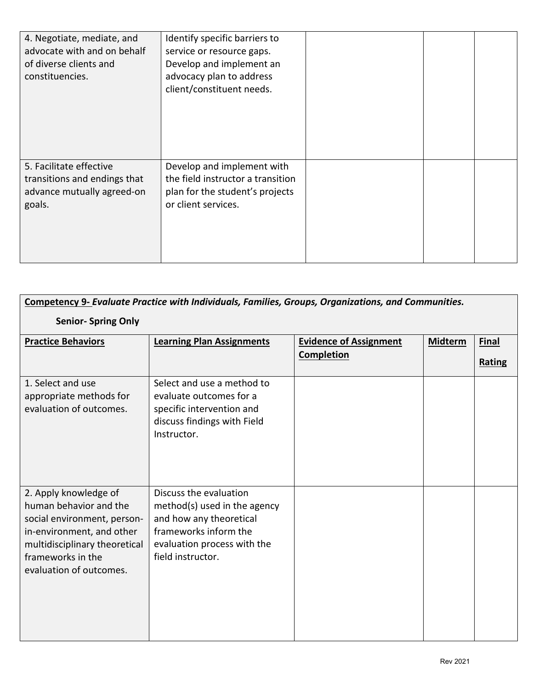| 4. Negotiate, mediate, and<br>advocate with and on behalf<br>of diverse clients and<br>constituencies. | Identify specific barriers to<br>service or resource gaps.<br>Develop and implement an<br>advocacy plan to address<br>client/constituent needs. |  |  |
|--------------------------------------------------------------------------------------------------------|-------------------------------------------------------------------------------------------------------------------------------------------------|--|--|
| 5. Facilitate effective<br>transitions and endings that<br>advance mutually agreed-on<br>goals.        | Develop and implement with<br>the field instructor a transition<br>plan for the student's projects<br>or client services.                       |  |  |

| Competency 9- Evaluate Practice with Individuals, Families, Groups, Organizations, and Communities.                                                                                          |                                                                                                                                                                |                                                    |                |                               |  |
|----------------------------------------------------------------------------------------------------------------------------------------------------------------------------------------------|----------------------------------------------------------------------------------------------------------------------------------------------------------------|----------------------------------------------------|----------------|-------------------------------|--|
| <b>Senior- Spring Only</b>                                                                                                                                                                   |                                                                                                                                                                |                                                    |                |                               |  |
| <b>Practice Behaviors</b>                                                                                                                                                                    | <b>Learning Plan Assignments</b>                                                                                                                               | <b>Evidence of Assignment</b><br><b>Completion</b> | <b>Midterm</b> | <b>Final</b><br><b>Rating</b> |  |
| 1. Select and use<br>appropriate methods for<br>evaluation of outcomes.                                                                                                                      | Select and use a method to<br>evaluate outcomes for a<br>specific intervention and<br>discuss findings with Field<br>Instructor.                               |                                                    |                |                               |  |
| 2. Apply knowledge of<br>human behavior and the<br>social environment, person-<br>in-environment, and other<br>multidisciplinary theoretical<br>frameworks in the<br>evaluation of outcomes. | Discuss the evaluation<br>method(s) used in the agency<br>and how any theoretical<br>frameworks inform the<br>evaluation process with the<br>field instructor. |                                                    |                |                               |  |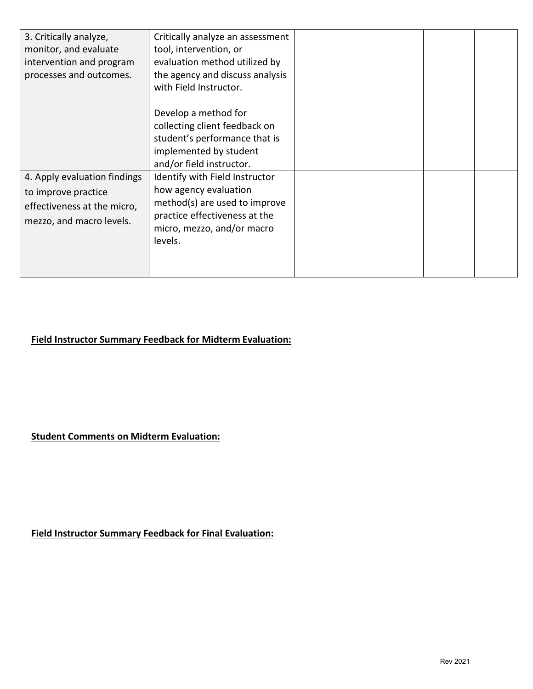| 3. Critically analyze,<br>monitor, and evaluate<br>intervention and program<br>processes and outcomes.         | Critically analyze an assessment<br>tool, intervention, or<br>evaluation method utilized by<br>the agency and discuss analysis<br>with Field Instructor.           |  |  |
|----------------------------------------------------------------------------------------------------------------|--------------------------------------------------------------------------------------------------------------------------------------------------------------------|--|--|
|                                                                                                                | Develop a method for<br>collecting client feedback on<br>student's performance that is<br>implemented by student<br>and/or field instructor.                       |  |  |
| 4. Apply evaluation findings<br>to improve practice<br>effectiveness at the micro,<br>mezzo, and macro levels. | Identify with Field Instructor<br>how agency evaluation<br>method(s) are used to improve<br>practice effectiveness at the<br>micro, mezzo, and/or macro<br>levels. |  |  |

# **Field Instructor Summary Feedback for Midterm Evaluation:**

**Student Comments on Midterm Evaluation:**

**Field Instructor Summary Feedback for Final Evaluation:**